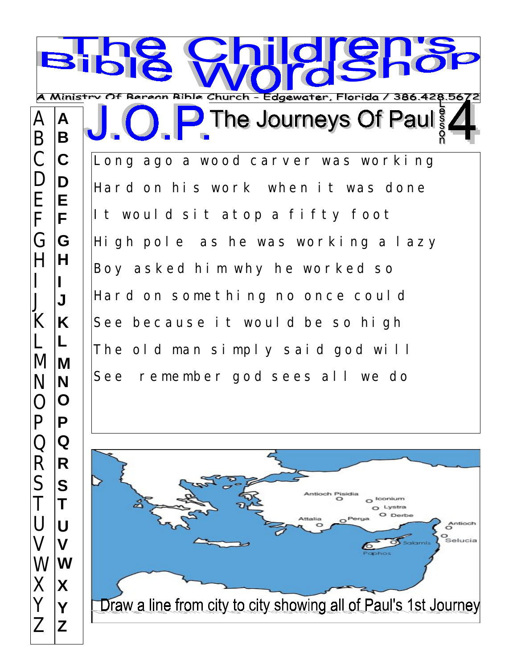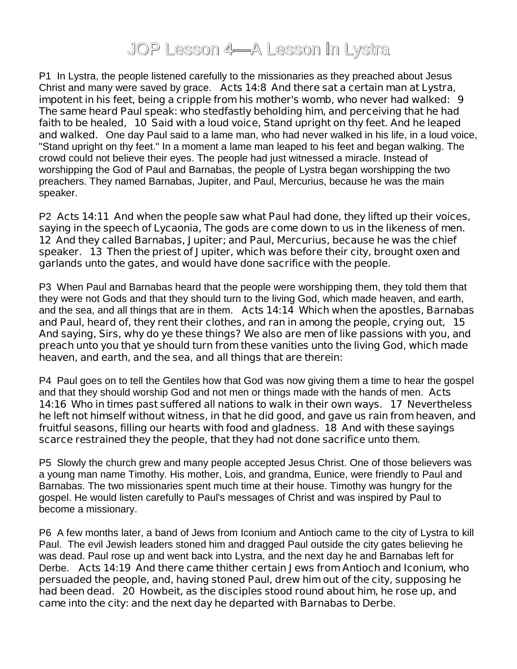## JOP Lesson 4—A Lesson In Lystra

P1 In Lystra, the people listened carefully to the missionaries as they preached about Jesus Christ and many were saved by grace. **Acts 14:8 And there sat a certain man at Lystra, impotent in his feet, being a cripple from his mother's womb, who never had walked: 9 The same heard Paul speak: who stedfastly beholding him, and perceiving that he had faith to be healed, 10 Said with a loud voice, Stand upright on thy feet. And he leaped and walked.** One day Paul said to a lame man, who had never walked in his life, in a loud voice, "Stand upright on thy feet." In a moment a lame man leaped to his feet and began walking. The crowd could not believe their eyes. The people had just witnessed a miracle. Instead of worshipping the God of Paul and Barnabas, the people of Lystra began worshipping the two preachers. They named Barnabas, Jupiter, and Paul, Mercurius, because he was the main speaker.

P2 **Acts 14:11 And when the people saw what Paul had done, they lifted up their voices, saying in the speech of Lycaonia, The gods are come down to us in the likeness of men. 12 And they called Barnabas, Jupiter; and Paul, Mercurius, because he was the chief speaker. 13 Then the priest of Jupiter, which was before their city, brought oxen and garlands unto the gates, and would have done sacrifice with the people.** 

P3 When Paul and Barnabas heard that the people were worshipping them, they told them that they were not Gods and that they should turn to the living God, which made heaven, and earth, and the sea, and all things that are in them. **Acts 14:14 Which when the apostles, Barnabas and Paul, heard of, they rent their clothes, and ran in among the people, crying out, 15 And saying, Sirs, why do ye these things? We also are men of like passions with you, and preach unto you that ye should turn from these vanities unto the living God, which made heaven, and earth, and the sea, and all things that are therein:**

P4 Paul goes on to tell the Gentiles how that God was now giving them a time to hear the gospel and that they should worship God and not men or things made with the hands of men. **Acts 14:16 Who in times past suffered all nations to walk in their own ways. 17 Nevertheless he left not himself without witness, in that he did good, and gave us rain from heaven, and fruitful seasons, filling our hearts with food and gladness. 18 And with these sayings scarce restrained they the people, that they had not done sacrifice unto them.**

P5 Slowly the church grew and many people accepted Jesus Christ. One of those believers was a young man name Timothy. His mother, Lois, and grandma, Eunice, were friendly to Paul and Barnabas. The two missionaries spent much time at their house. Timothy was hungry for the gospel. He would listen carefully to Paul's messages of Christ and was inspired by Paul to become a missionary.

P6 A few months later, a band of Jews from Iconium and Antioch came to the city of Lystra to kill Paul. The evil Jewish leaders stoned him and dragged Paul outside the city gates believing he was dead. Paul rose up and went back into Lystra, and the next day he and Barnabas left for Derbe. **Acts 14:19 And there came thither certain Jews from Antioch and Iconium, who persuaded the people, and, having stoned Paul, drew him out of the city, supposing he had been dead. 20 Howbeit, as the disciples stood round about him, he rose up, and came into the city: and the next day he departed with Barnabas to Derbe.**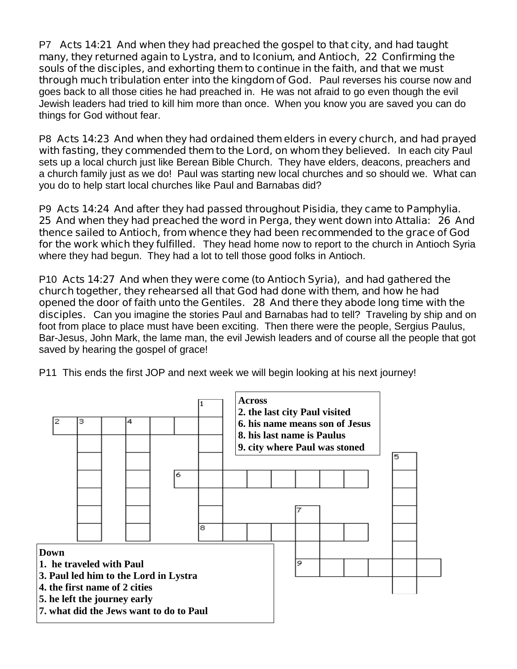P7 **Acts 14:21 And when they had preached the gospel to that city, and had taught many, they returned again to Lystra, and to Iconium, and Antioch, 22 Confirming the souls of the disciples, and exhorting them to continue in the faith, and that we must through much tribulation enter into the kingdom of God.** Paul reverses his course now and goes back to all those cities he had preached in. He was not afraid to go even though the evil Jewish leaders had tried to kill him more than once. When you know you are saved you can do things for God without fear.

P8 **Acts 14:23 And when they had ordained them elders in every church, and had prayed with fasting, they commended them to the Lord, on whom they believed.** In each city Paul sets up a local church just like Berean Bible Church. They have elders, deacons, preachers and a church family just as we do! Paul was starting new local churches and so should we. What can you do to help start local churches like Paul and Barnabas did?

P9 **Acts 14:24 And after they had passed throughout Pisidia, they came to Pamphylia. 25 And when they had preached the word in Perga, they went down into Attalia: 26 And thence sailed to Antioch, from whence they had been recommended to the grace of God for the work which they fulfilled.** They head home now to report to the church in Antioch Syria where they had begun. They had a lot to tell those good folks in Antioch.

P10 **Acts 14:27 And when they were come (to Antioch Syria), and had gathered the church together, they rehearsed all that God had done with them, and how he had opened the door of faith unto the Gentiles. 28 And there they abode long time with the disciples.** Can you imagine the stories Paul and Barnabas had to tell? Traveling by ship and on foot from place to place must have been exciting. Then there were the people, Sergius Paulus, Bar-Jesus, John Mark, the lame man, the evil Jewish leaders and of course all the people that got saved by hearing the gospel of grace!

P11 This ends the first JOP and next week we will begin looking at his next journey!

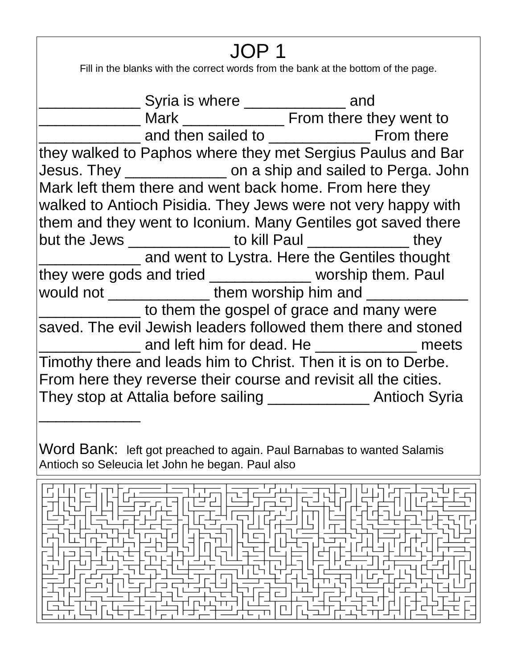## JOP 1

Fill in the blanks with the correct words from the bank at the bottom of the page.

\_\_\_\_\_\_\_\_\_\_\_\_\_\_\_\_\_\_\_ Syria is where \_\_\_\_\_\_\_\_\_\_\_\_\_\_\_\_ and \_\_\_\_\_\_\_\_\_\_\_\_\_\_\_\_\_\_ Mark \_\_\_\_\_\_\_\_\_\_\_\_\_\_\_\_\_\_\_\_\_\_ From there they went to **EXECUTE:** and then sailed to **William Section** From there they walked to Paphos where they met Sergius Paulus and Bar Jesus. They \_\_\_\_\_\_\_\_\_\_\_\_ on a ship and sailed to Perga. John Mark left them there and went back home. From here they walked to Antioch Pisidia. They Jews were not very happy with them and they went to Iconium. Many Gentiles got saved there but the Jews \_\_\_\_\_\_\_\_\_\_\_\_\_\_\_ to kill Paul \_\_\_\_\_\_\_\_\_\_\_\_\_\_\_ they **EXECUTE:** and went to Lystra. Here the Gentiles thought they were gods and tried \_\_\_\_\_\_\_\_\_\_\_\_ worship them. Paul would not \_\_\_\_\_\_\_\_\_\_\_\_\_\_\_\_ them worship him and \_\_\_\_\_\_\_\_\_\_ to them the gospel of grace and many were saved. The evil Jewish leaders followed them there and stoned \_\_\_\_\_\_\_\_\_\_\_\_ and left him for dead. He \_\_\_\_\_\_\_\_\_\_\_\_ meets Timothy there and leads him to Christ. Then it is on to Derbe. From here they reverse their course and revisit all the cities. They stop at Attalia before sailing \_\_\_\_\_\_\_\_\_\_\_\_ Antioch Syria

Word Bank: left got preached to again. Paul Barnabas to wanted Salamis Antioch so Seleucia let John he began. Paul also

\_\_\_\_\_\_\_\_\_\_\_\_

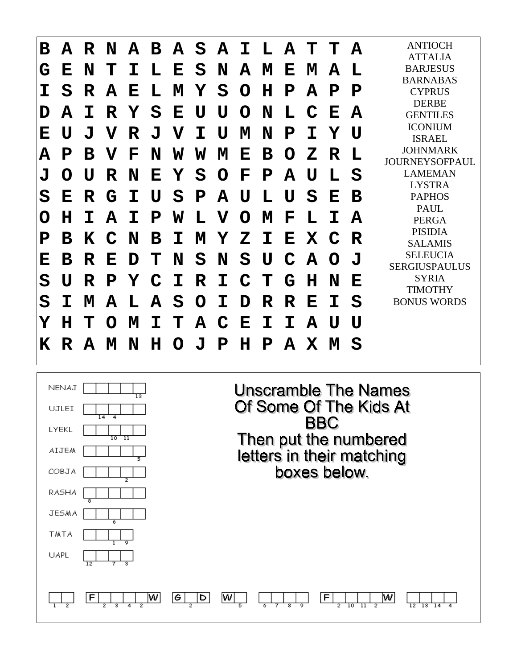

| NENAJ<br>$\overline{13}$<br>UJLEI<br>14<br>$\overline{4}$ | Unscramble The Names<br>Of Some Of The Kids At<br><b>BBC</b>          |
|-----------------------------------------------------------|-----------------------------------------------------------------------|
| <b>LYEKL</b><br>$10 \text{ } 11$                          | Then put the numbered                                                 |
| <b>AIJEM</b>                                              | letters in their matching                                             |
| COBJA<br>2                                                | boxes below.                                                          |
| RASHA<br>8                                                |                                                                       |
| JESMA                                                     |                                                                       |
| TMTA                                                      |                                                                       |
| UAPL<br>$\overline{12}$                                   |                                                                       |
|                                                           |                                                                       |
| w<br>G<br>F<br>D                                          | w<br>۱w<br>F<br>$\overline{10}$<br>$\overline{13}$<br>$\overline{12}$ |